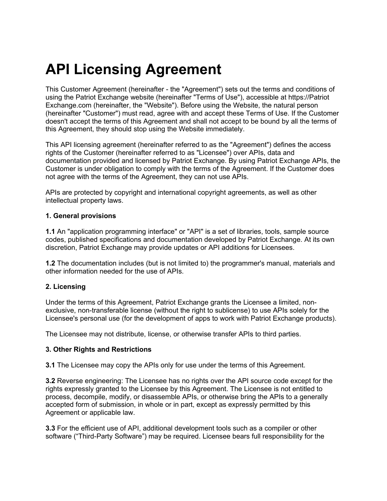# **API Licensing Agreement**

This Customer Agreement (hereinafter - the "Agreement") sets out the terms and conditions of using the Patriot Exchange website (hereinafter "Terms of Use"), accessible at https://Patriot Exchange.com (hereinafter, the "Website"). Before using the Website, the natural person (hereinafter "Customer") must read, agree with and accept these Terms of Use. If the Customer doesn't accept the terms of this Agreement and shall not accept to be bound by all the terms of this Agreement, they should stop using the Website immediately.

This API licensing agreement (hereinafter referred to as the "Agreement") defines the access rights of the Customer (hereinafter referred to as "Licensee") over APIs, data and documentation provided and licensed by Patriot Exchange. By using Patriot Exchange APIs, the Customer is under obligation to comply with the terms of the Agreement. If the Customer does not agree with the terms of the Agreement, they can not use APIs.

APIs are protected by copyright and international copyright agreements, as well as other intellectual property laws.

#### **1. General provisions**

**1.1** An "application programming interface" or "API" is a set of libraries, tools, sample source codes, published specifications and documentation developed by Patriot Exchange. At its own discretion, Patriot Exchange may provide updates or API additions for Licensees.

**1.2** The documentation includes (but is not limited to) the programmer's manual, materials and other information needed for the use of APIs.

#### **2. Licensing**

Under the terms of this Agreement, Patriot Exchange grants the Licensee a limited, nonexclusive, non-transferable license (without the right to sublicense) to use APIs solely for the Licensee's personal use (for the development of apps to work with Patriot Exchange products).

The Licensee may not distribute, license, or otherwise transfer APIs to third parties.

#### **3. Other Rights and Restrictions**

**3.1** The Licensee may copy the APIs only for use under the terms of this Agreement.

**3.2** Reverse engineering: The Licensee has no rights over the API source code except for the rights expressly granted to the Licensee by this Agreement. The Licensee is not entitled to process, decompile, modify, or disassemble APIs, or otherwise bring the APIs to a generally accepted form of submission, in whole or in part, except as expressly permitted by this Agreement or applicable law.

**3.3** For the efficient use of API, additional development tools such as a compiler or other software ("Third-Party Software") may be required. Licensee bears full responsibility for the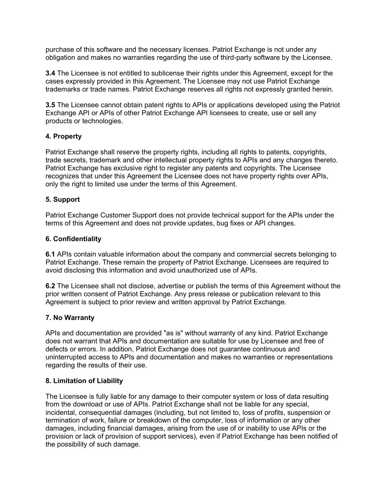purchase of this software and the necessary licenses. Patriot Exchange is not under any obligation and makes no warranties regarding the use of third-party software by the Licensee.

**3.4** The Licensee is not entitled to sublicense their rights under this Agreement, except for the cases expressly provided in this Agreement. The Licensee may not use Patriot Exchange trademarks or trade names. Patriot Exchange reserves all rights not expressly granted herein.

**3.5** The Licensee cannot obtain patent rights to APIs or applications developed using the Patriot Exchange API or APIs of other Patriot Exchange API licensees to create, use or sell any products or technologies.

## **4. Property**

Patriot Exchange shall reserve the property rights, including all rights to patents, copyrights, trade secrets, trademark and other intellectual property rights to APIs and any changes thereto. Patriot Exchange has exclusive right to register any patents and copyrights. The Licensee recognizes that under this Agreement the Licensee does not have property rights over APIs, only the right to limited use under the terms of this Agreement.

# **5. Support**

Patriot Exchange Customer Support does not provide technical support for the APIs under the terms of this Agreement and does not provide updates, bug fixes or API changes.

## **6. Confidentiality**

**6.1** APIs contain valuable information about the company and commercial secrets belonging to Patriot Exchange. These remain the property of Patriot Exchange. Licensees are required to avoid disclosing this information and avoid unauthorized use of APIs.

**6.2** The Licensee shall not disclose, advertise or publish the terms of this Agreement without the prior written consent of Patriot Exchange. Any press release or publication relevant to this Agreement is subject to prior review and written approval by Patriot Exchange.

## **7. No Warranty**

APIs and documentation are provided "as is" without warranty of any kind. Patriot Exchange does not warrant that APIs and documentation are suitable for use by Licensee and free of defects or errors. In addition, Patriot Exchange does not guarantee continuous and uninterrupted access to APIs and documentation and makes no warranties or representations regarding the results of their use.

## **8. Limitation of Liability**

The Licensee is fully liable for any damage to their computer system or loss of data resulting from the download or use of APIs. Patriot Exchange shall not be liable for any special, incidental, consequential damages (including, but not limited to, loss of profits, suspension or termination of work, failure or breakdown of the computer, loss of information or any other damages, including financial damages, arising from the use of or inability to use APIs or the provision or lack of provision of support services), even if Patriot Exchange has been notified of the possibility of such damage.